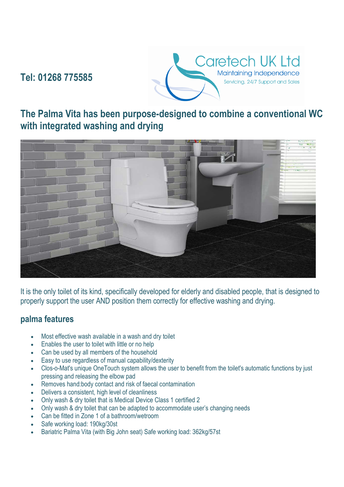# **Tel: 01268 775585**



## **The Palma Vita has been purpose-designed to combine a conventional WC with integrated washing and drying**



It is the only toilet of its kind, specifically developed for elderly and disabled people, that is designed to properly support the user AND position them correctly for effective washing and drying.

#### **palma features**

- Most effective wash available in a wash and dry toilet
- Enables the user to toilet with little or no help
- Can be used by all members of the household
- Easy to use regardless of manual capability/dexterity
- Clos-o-Mat's unique OneTouch system allows the user to benefit from the toilet's automatic functions by just pressing and releasing the elbow pad
- Removes hand:body contact and risk of faecal contamination
- Delivers a consistent, high level of cleanliness
- Only wash & dry toilet that is Medical Device Class 1 certified 2
- Only wash & dry toilet that can be adapted to accommodate user's changing needs
- Can be fitted in Zone 1 of a bathroom/wetroom
- Safe working load: 190kg/30st
- Bariatric Palma Vita (with Big John seat) Safe working load: 362kg/57st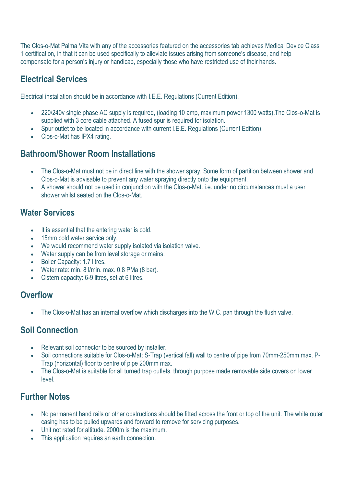The Clos-o-Mat Palma Vita with any of the accessories featured on the accessories tab achieves Medical Device Class 1 certification, in that it can be used specifically to alleviate issues arising from someone's disease, and help compensate for a person's injury or handicap, especially those who have restricted use of their hands.

## **Electrical Services**

Electrical installation should be in accordance with I.E.E. Regulations (Current Edition).

- 220/240v single phase AC supply is required, (loading 10 amp, maximum power 1300 watts).The Clos-o-Mat is supplied with 3 core cable attached. A fused spur is required for isolation.
- Spur outlet to be located in accordance with current I.E.E. Regulations (Current Edition).
- Clos-o-Mat has IPX4 rating.

#### **Bathroom/Shower Room Installations**

- The Clos-o-Mat must not be in direct line with the shower spray. Some form of partition between shower and Clos-o-Mat is advisable to prevent any water spraying directly onto the equipment.
- A shower should not be used in conjunction with the Clos-o-Mat. i.e. under no circumstances must a user shower whilst seated on the Clos-o-Mat.

#### **Water Services**

- It is essential that the entering water is cold.
- 15mm cold water service only.
- We would recommend water supply isolated via isolation valve.
- Water supply can be from level storage or mains.
- **Boiler Capacity: 1.7 litres.**
- Water rate: min. 8 l/min. max. 0.8 PMa (8 bar).
- Cistern capacity: 6-9 litres, set at 6 litres.

#### **Overflow**

• The Clos-o-Mat has an internal overflow which discharges into the W.C. pan through the flush valve.

#### **Soil Connection**

- Relevant soil connector to be sourced by installer.
- Soil connections suitable for Clos-o-Mat; S-Trap (vertical fall) wall to centre of pipe from 70mm-250mm max. P-Trap (horizontal) floor to centre of pipe 200mm max.
- The Clos-o-Mat is suitable for all turned trap outlets, through purpose made removable side covers on lower level.

## **Further Notes**

- No permanent hand rails or other obstructions should be fitted across the front or top of the unit. The white outer casing has to be pulled upwards and forward to remove for servicing purposes.
- Unit not rated for altitude. 2000m is the maximum.
- This application requires an earth connection.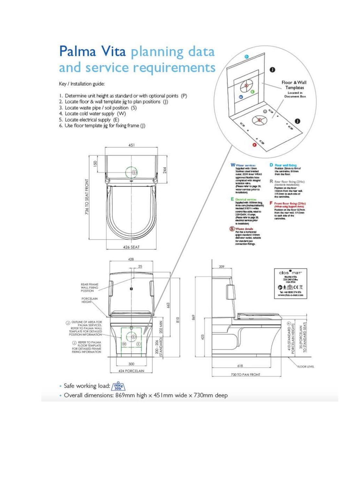

· Overall dimensions: 869mm high x 451mm wide x 730mm deep